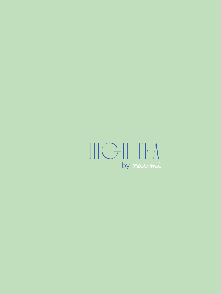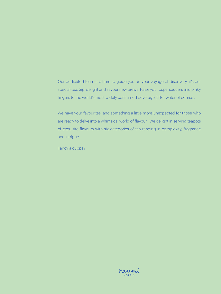Our dedicated team are here to guide you on your voyage of discovery, it's our special-tea. Sip, delight and savour new brews. Raise your cups, saucers and pinky fingers to the world's most widely consumed beverage (after water of course).

We have your favourites, and something a little more unexpected for those who are ready to delve into a whimsical world of flavour. We delight in serving teapots of exquisite flavours with six categories of tea ranging in complexity, fragrance and intrigue.

Fancy a cuppa?

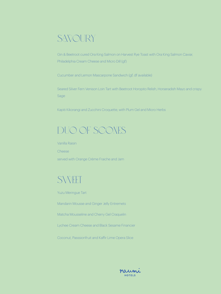# savoury

Gin & Beetroot cured Ora King Salmon on Harvest Rye Toast with Ora King Salmon Caviar, Philadelphia Cream Cheese and Micro Dill (gf)

Cucumber and Lemon Mascarpone Sandwich (gf, df available)

Seared Silver Fern Venison Loin Tart with Beetroot Horopito Relish, Horseradish Mayo and crispy Sage

Kapiti Kikorangi and Zucchini Croquette, with Plum Gel and Micro Herbs

## duo of scones

Vanilla Raisin

Cheese served with Orange Crème Fraiche and Jam

## **SWEET**

Yuzu Meringue Tart

Mandarin Mousse and Ginger Jelly Entremets

Matcha Mousseline and Cherry Gel Craquelin

Lychee Cream Cheese and Black Sesame Financier

Coconut, Passsionfruit and Kaffir Lime Opera Slice

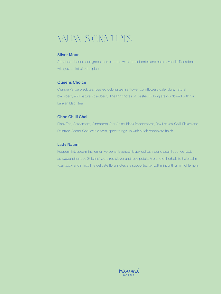# naumi signatures

### Silver Moon

A fusion of handmade green teas blended with forest berries and natural vanilla. Decadent, with just a hint of soft spice.

## Queens Choice

Orange Pekoe black tea, roasted oolong tea, safflower, cornflowers, calendula, natural blackberry and natural strawberry. The light notes of roasted oolong are combined with Sri Lankan black tea.

### Choc Chilli Chai

Black Tea, Cardamom, Cinnamon, Star Anise, Black Peppercorns, Bay Leaves, Chilli Flakes and Daintree Cacao. Chai with a twist, spice things up with a rich chocolate finish.

### Lady Naumi

Peppermint, spearmint, lemon verbena, lavender, black cohosh, dong quai, liquorice root, ashwagandha root, St johns' wort, red clover and rose petals. A blend of herbals to help calm your body and mind. The delicate floral notes are supported by soft mint with a hint of lemon.

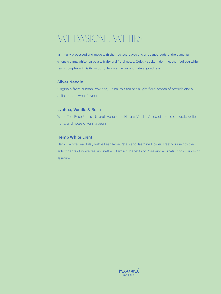# whimsical whites

Minimally processed and made with the freshest leaves and unopened buds of the camellia sinensis plant, white tea boasts fruity and floral notes. Quietly spoken, don't let that fool you white tea is complex with is its smooth, delicate flavour and natural goodness.

### Silver Needle

Originally from Yunnan Province, China, this tea has a light floral aroma of orchids and a delicate but sweet flavour.

### Lychee, Vanilla & Rose

White Tea, Rose Petals, Natural Lychee and Natural Vanilla. An exotic blend of florals, delicate fruits, and notes of vanilla bean.

### Hemp White Light

Hemp, White Tea, Tulsi, Nettle Leaf, Rose Petals and Jasmine Flower. Treat yourself to the antioxidants of white tea and nettle, vitamin C benefits of Rose and aromatic compounds of Jasmine.

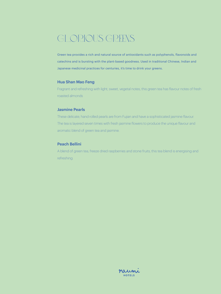# GLORIOUS GREENS

Green tea provides a rich and natural source of antioxidants such as polyphenols, flavonoids and catechins and is bursting with the plant-based goodness. Used in traditional Chinese, Indian and Japanese medicinal practices for centuries, it's time to drink your greens.

### Hua Shan Mao Feng

Fragrant and refreshing with light, sweet, vegetal notes, this green tea has flavour notes of fresh roasted almonds

#### Jasmine Pearls

These delicate, hand rolled pearls are from Fujian and have a sophisticated jasmine flavour. The tea is layered seven times with fresh jasmine flowers to produce the unique flavour and aromatic blend of green tea and jasmine.

### Peach Bellini

A blend of green tea, freeze dried raspberries and stone fruits, this tea blend is energising and refreshing.

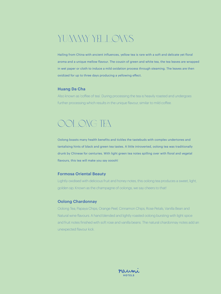# YUMMY YELLOWS

Hailing from China with ancient influences, yellow tea is rare with a soft and delicate yet floral aroma and a unique mellow flavour. The cousin of green and white tea, the tea leaves are wrapped in wet paper or cloth to induce a mild oxidation process through steaming. The leaves are then oxidized for up to three days producing a yellowing effect.

### Huang Da Cha

Also known as 'coffee of tea'. During processing the tea is heavily roasted and undergoes further processing which results in the unique flavour, similar to mild coffee.

## ool ONG TEA

Oolong boasts many health benefits and tickles the tastebuds with complex undertones and tantalising hints of black and green tea tastes. A little introverted, oolong tea was traditionally drunk by Chinese for centuries. With light green tea notes spilling over with floral and vegetal flavours, this tea will make you say ooooh!

### Formosa Oriental Beauty

Lightly oxidised with delicious fruit and honey notes, this oolong tea produces a sweet, light, golden sip. Known as the champagne of oolongs, we say cheers to that!

### Oolong Chardonnay

Oolong Tea, Papaya Chips, Orange Peel, Cinnamon Chips, Rose Petals, Vanilla Bean and Natural wine flavours. A hand blended and lightly roasted oolong bursting with light spice and fruit notes finished with soft rose and vanilla beans. The natural chardonnay notes add an unexpected flavour kick.

naumi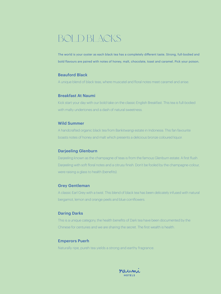## bold blacks

The world is your oyster as each black tea has a completely different taste. Strong, full-bodied and bold flavours are paired with notes of honey, malt, chocolate, toast and caramel. Pick your poison.

### Beauford Black

A unique blend of black teas, where muscatel and floral notes meet caramel and anise.

### Breakfast At Naumi

Kick start your day with our bold take on the classic English Breakfast. This tea is full-bodied with malty undertones and a dash of natural sweetness.

### Wild Summer

A handcrafted organic black tea from Bankitwangi estate in Indonesia. This fan favourite boasts notes of honey and malt which presents a delicious bronze coloured liquor.

### Darjeeling Glenburn

Darjeeling known as the champagne of teas is from the famous Glenburn estate. A first flush Darjeeling with soft floral notes and a citrusy finish. Don't be fooled by the champagne-colour, were raising a glass to health (benefits).

### Grey Gentleman

A classic Earl Grey with a twist. This blend of black tea has been delicately infused with natural bergamot, lemon and orange peels and blue cornflowers.

### Daring Darks

This is a unique category, the health benefits of Dark tea have been documented by the Chinese for centuries and we are sharing the secret. The first wealth is health.

### Emperors Puerh

Naturally ripe, pureh tea yields a strong and earthy fragrance.

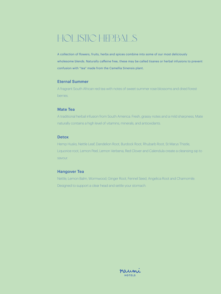# holistic herbals

A collection of flowers, fruits, herbs and spices combine into some of our most deliciously wholesome blends. Naturally caffeine free, these may be called tisanes or herbal infusions to prevent confusion with "tea" made from the Camellia Sinensis plant.

### Eternal Summer

A fragrant South African red tea with notes of sweet summer rose blossoms and dried forest berries.

#### Mate Tea

A traditional herbal infusion from South America. Fresh, grassy notes and a mild sharpness, Mate naturally contains a high level of vitamins, minerals, and antioxidants.

#### **Detox**

Hemp Husks, Nettle Leaf, Dandelion Root, Burdock Root, Rhubarb Root, St Marys Thistle, Liquorice root, Lemon Peel, Lemon Verbena, Red Clover and Calendula create a cleansing sip to savour.

## Hangover Tea

Nettle, Lemon Balm, Wormwood, Ginger Root, Fennel Seed, Angelica Root and Chamomile. Designed to support a clear head and settle your stomach.

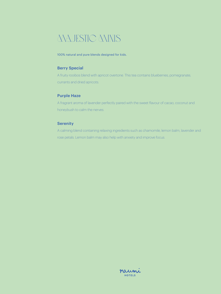# majestic minis

100% natural and pure blends designed for kids.

### Berry Special

A fruity rooibos blend with apricot overtone. This tea contains blueberries, pomegranate, currants and dried apricots.

## Purple Haze

A fragrant aroma of lavender perfectly paired with the sweet flavour of cacao, coconut and honeybush to calm the nerves.

## Serenity

A calming blend containing relaxing ingredients such as chamomile, lemon balm, lavender and rose petals. Lemon balm may also help with anxiety and improve focus.